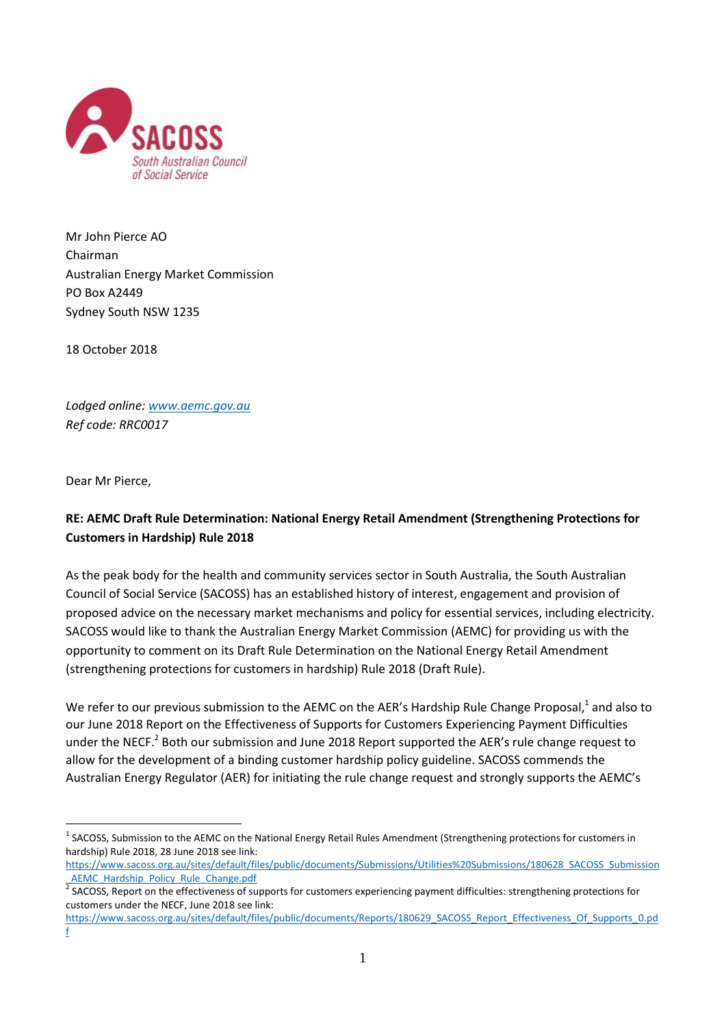

Mr John Pierce AO Chairman Australian Energy Market Commission PO Box A2449 Sydney South NSW 1235

18 October 2018

*Lodged online[: www.aemc.gov.au](http://www.aemc.gov.au/) Ref code: RRC0017*

Dear Mr Pierce,

1

# **RE: AEMC Draft Rule Determination: National Energy Retail Amendment (Strengthening Protections for Customers in Hardship) Rule 2018**

As the peak body for the health and community services sector in South Australia, the South Australian Council of Social Service (SACOSS) has an established history of interest, engagement and provision of proposed advice on the necessary market mechanisms and policy for essential services, including electricity. SACOSS would like to thank the Australian Energy Market Commission (AEMC) for providing us with the opportunity to comment on its Draft Rule Determination on the National Energy Retail Amendment (strengthening protections for customers in hardship) Rule 2018 (Draft Rule).

We refer to our previous submission to the AEMC on the AER's Hardship Rule Change Proposal,<sup>1</sup> and also to our June 2018 Report on the Effectiveness of Supports for Customers Experiencing Payment Difficulties under the NECF.<sup>2</sup> Both our submission and June 2018 Report supported the AER's rule change request to allow for the development of a binding customer hardship policy guideline. SACOSS commends the Australian Energy Regulator (AER) for initiating the rule change request and strongly supports the AEMC's

<sup>&</sup>lt;sup>1</sup> SACOSS, Submission to the AEMC on the National Energy Retail Rules Amendment (Strengthening protections for customers in hardship) Rule 2018, 28 June 2018 see link:

[https://www.sacoss.org.au/sites/default/files/public/documents/Submissions/Utilities%20Submissions/180628\\_SACOSS\\_Submission](https://www.sacoss.org.au/sites/default/files/public/documents/Submissions/Utilities%20Submissions/180628_SACOSS_Submission_AEMC_Hardship_Policy_Rule_Change.pdf) AEMC Hardship Policy Rule Change.pdf

<sup>&</sup>lt;sup>2</sup> SACOSS, Report on the effectiveness of supports for customers experiencing payment difficulties: strengthening protections for customers under the NECF, June 2018 see link:

[https://www.sacoss.org.au/sites/default/files/public/documents/Reports/180629\\_SACOSS\\_Report\\_Effectiveness\\_Of\\_Supports\\_0.pd](https://www.sacoss.org.au/sites/default/files/public/documents/Reports/180629_SACOSS_Report_Effectiveness_Of_Supports_0.pdf) [f](https://www.sacoss.org.au/sites/default/files/public/documents/Reports/180629_SACOSS_Report_Effectiveness_Of_Supports_0.pdf)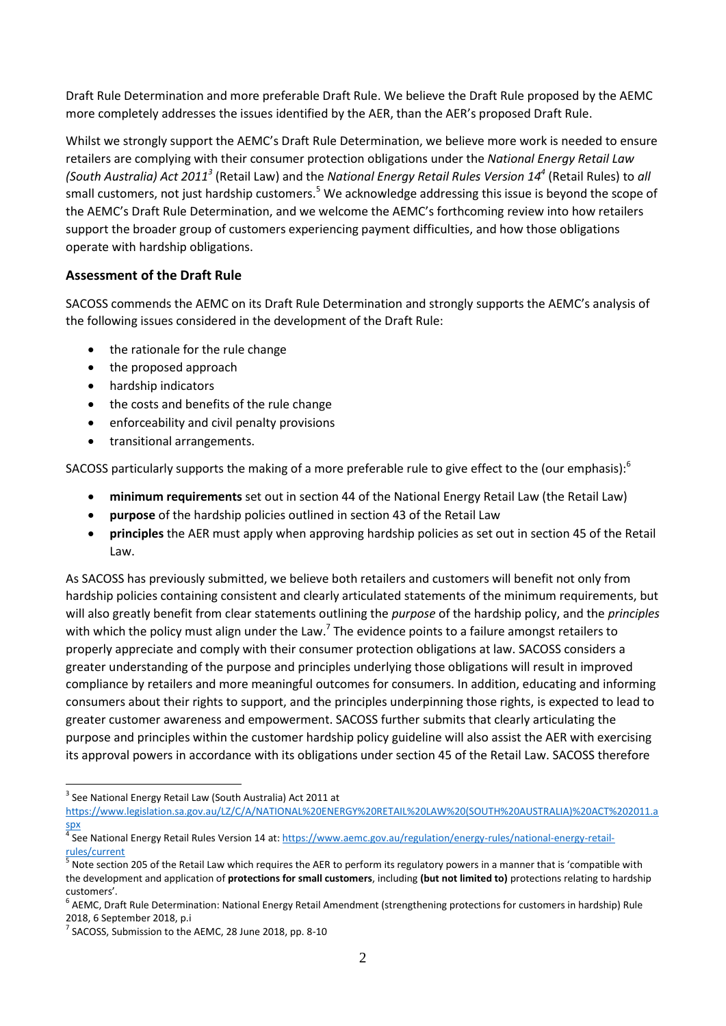Draft Rule Determination and more preferable Draft Rule. We believe the Draft Rule proposed by the AEMC more completely addresses the issues identified by the AER, than the AER's proposed Draft Rule.

Whilst we strongly support the AEMC's Draft Rule Determination, we believe more work is needed to ensure retailers are complying with their consumer protection obligations under the *National Energy Retail Law*  (South Australia) Act 2011<sup>3</sup> (Retail Law) and the *National Energy Retail Rules Version 14*<sup>4</sup> (Retail Rules) to all small customers, not just hardship customers.<sup>5</sup> We acknowledge addressing this issue is beyond the scope of the AEMC's Draft Rule Determination, and we welcome the AEMC's forthcoming review into how retailers support the broader group of customers experiencing payment difficulties, and how those obligations operate with hardship obligations.

## **Assessment of the Draft Rule**

SACOSS commends the AEMC on its Draft Rule Determination and strongly supports the AEMC's analysis of the following issues considered in the development of the Draft Rule:

- the rationale for the rule change
- the proposed approach
- hardship indicators
- the costs and benefits of the rule change
- enforceability and civil penalty provisions
- transitional arrangements.

SACOSS particularly supports the making of a more preferable rule to give effect to the (our emphasis): $<sup>6</sup>$ </sup>

- **minimum requirements** set out in section 44 of the National Energy Retail Law (the Retail Law)
- **purpose** of the hardship policies outlined in section 43 of the Retail Law
- **principles** the AER must apply when approving hardship policies as set out in section 45 of the Retail Law.

As SACOSS has previously submitted, we believe both retailers and customers will benefit not only from hardship policies containing consistent and clearly articulated statements of the minimum requirements, but will also greatly benefit from clear statements outlining the *purpose* of the hardship policy, and the *principles* with which the policy must align under the Law.<sup>7</sup> The evidence points to a failure amongst retailers to properly appreciate and comply with their consumer protection obligations at law. SACOSS considers a greater understanding of the purpose and principles underlying those obligations will result in improved compliance by retailers and more meaningful outcomes for consumers. In addition, educating and informing consumers about their rights to support, and the principles underpinning those rights, is expected to lead to greater customer awareness and empowerment. SACOSS further submits that clearly articulating the purpose and principles within the customer hardship policy guideline will also assist the AER with exercising its approval powers in accordance with its obligations under section 45 of the Retail Law. SACOSS therefore

<u>.</u>

 $3$  See National Energy Retail Law (South Australia) Act 2011 at

[https://www.legislation.sa.gov.au/LZ/C/A/NATIONAL%20ENERGY%20RETAIL%20LAW%20\(SOUTH%20AUSTRALIA\)%20ACT%202011.a](https://www.legislation.sa.gov.au/LZ/C/A/NATIONAL%20ENERGY%20RETAIL%20LAW%20(SOUTH%20AUSTRALIA)%20ACT%202011.aspx)

[spx](https://www.legislation.sa.gov.au/LZ/C/A/NATIONAL%20ENERGY%20RETAIL%20LAW%20(SOUTH%20AUSTRALIA)%20ACT%202011.aspx) 4 See National Energy Retail Rules Version 14 at[: https://www.aemc.gov.au/regulation/energy-rules/national-energy-retail](https://www.aemc.gov.au/regulation/energy-rules/national-energy-retail-rules/current)[rules/current](https://www.aemc.gov.au/regulation/energy-rules/national-energy-retail-rules/current)

<sup>&</sup>lt;sup>5</sup> Note section 205 of the Retail Law which requires the AER to perform its regulatory powers in a manner that is 'compatible with the development and application of **protections for small customers**, including **(but not limited to)** protections relating to hardship customers'.

<sup>&</sup>lt;sup>6</sup> AEMC, Draft Rule Determination: National Energy Retail Amendment (strengthening protections for customers in hardship) Rule 2018, 6 September 2018, p.i

 $7$  SACOSS, Submission to the AEMC, 28 June 2018, pp. 8-10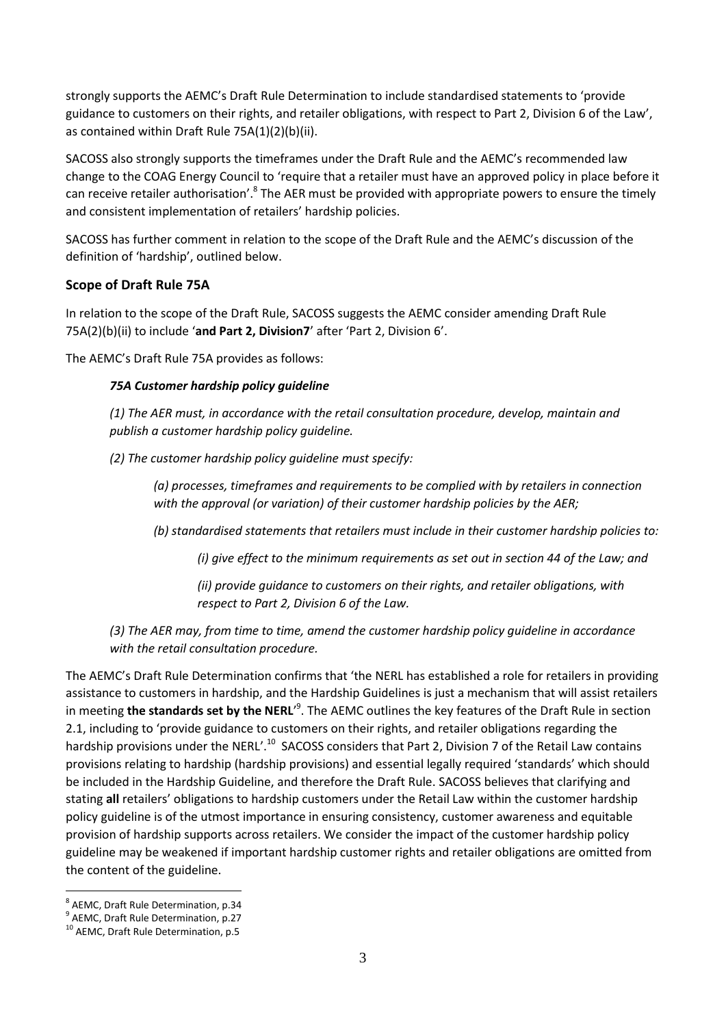strongly supports the AEMC's Draft Rule Determination to include standardised statements to 'provide guidance to customers on their rights, and retailer obligations, with respect to Part 2, Division 6 of the Law', as contained within Draft Rule 75A(1)(2)(b)(ii).

SACOSS also strongly supports the timeframes under the Draft Rule and the AEMC's recommended law change to the COAG Energy Council to 'require that a retailer must have an approved policy in place before it can receive retailer authorisation'.<sup>8</sup> The AER must be provided with appropriate powers to ensure the timely and consistent implementation of retailers' hardship policies.

SACOSS has further comment in relation to the scope of the Draft Rule and the AEMC's discussion of the definition of 'hardship', outlined below.

## **Scope of Draft Rule 75A**

In relation to the scope of the Draft Rule, SACOSS suggests the AEMC consider amending Draft Rule 75A(2)(b)(ii) to include '**and Part 2, Division7**' after 'Part 2, Division 6'.

The AEMC's Draft Rule 75A provides as follows:

### *75A Customer hardship policy guideline*

*(1) The AER must, in accordance with the retail consultation procedure, develop, maintain and publish a customer hardship policy guideline.* 

*(2) The customer hardship policy guideline must specify:* 

*(a) processes, timeframes and requirements to be complied with by retailers in connection with the approval (or variation) of their customer hardship policies by the AER;* 

*(b) standardised statements that retailers must include in their customer hardship policies to:* 

*(i) give effect to the minimum requirements as set out in section 44 of the Law; and* 

*(ii) provide guidance to customers on their rights, and retailer obligations, with respect to Part 2, Division 6 of the Law.*

*(3) The AER may, from time to time, amend the customer hardship policy guideline in accordance with the retail consultation procedure.*

The AEMC's Draft Rule Determination confirms that 'the NERL has established a role for retailers in providing assistance to customers in hardship, and the Hardship Guidelines is just a mechanism that will assist retailers in meeting the standards set by the NERL'<sup>9</sup>. The AEMC outlines the key features of the Draft Rule in section 2.1, including to 'provide guidance to customers on their rights, and retailer obligations regarding the hardship provisions under the NERL'.<sup>10</sup> SACOSS considers that Part 2, Division 7 of the Retail Law contains provisions relating to hardship (hardship provisions) and essential legally required 'standards' which should be included in the Hardship Guideline, and therefore the Draft Rule. SACOSS believes that clarifying and stating **all** retailers' obligations to hardship customers under the Retail Law within the customer hardship policy guideline is of the utmost importance in ensuring consistency, customer awareness and equitable provision of hardship supports across retailers. We consider the impact of the customer hardship policy guideline may be weakened if important hardship customer rights and retailer obligations are omitted from the content of the guideline.

<sup>1</sup> 8 AEMC, Draft Rule Determination, p.34

<sup>&</sup>lt;sup>9</sup> AEMC, Draft Rule Determination, p.27

<sup>&</sup>lt;sup>10</sup> AEMC, Draft Rule Determination, p.5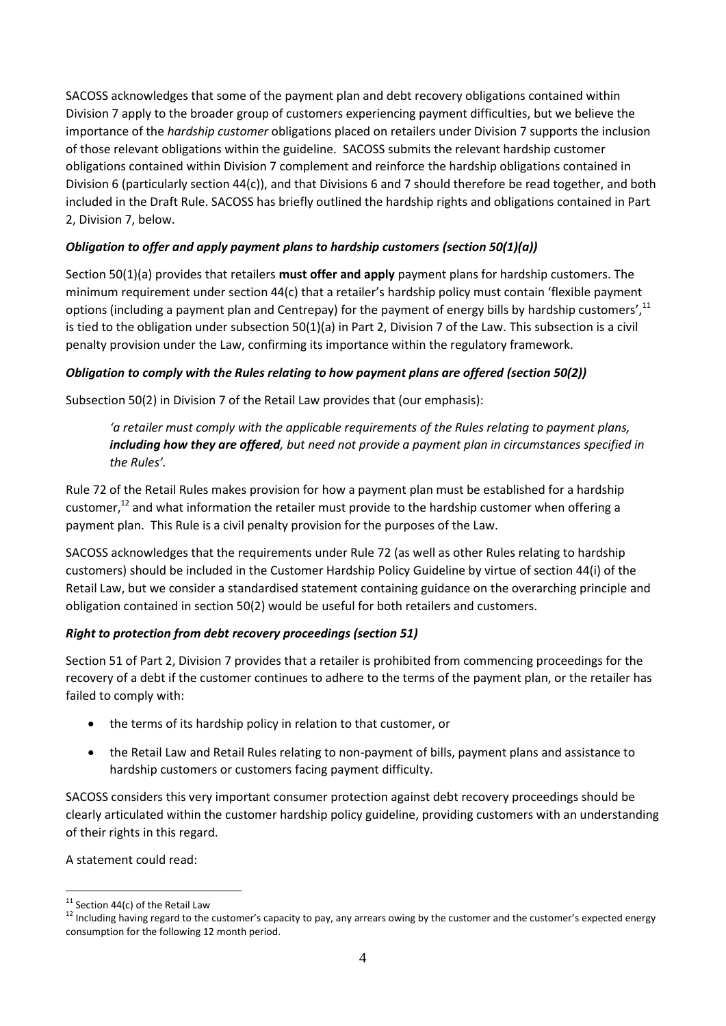SACOSS acknowledges that some of the payment plan and debt recovery obligations contained within Division 7 apply to the broader group of customers experiencing payment difficulties, but we believe the importance of the *hardship customer* obligations placed on retailers under Division 7 supports the inclusion of those relevant obligations within the guideline. SACOSS submits the relevant hardship customer obligations contained within Division 7 complement and reinforce the hardship obligations contained in Division 6 (particularly section 44(c)), and that Divisions 6 and 7 should therefore be read together, and both included in the Draft Rule. SACOSS has briefly outlined the hardship rights and obligations contained in Part 2, Division 7, below.

# *Obligation to offer and apply payment plans to hardship customers (section 50(1)(a))*

Section 50(1)(a) provides that retailers **must offer and apply** payment plans for hardship customers. The minimum requirement under section 44(c) that a retailer's hardship policy must contain 'flexible payment options (including a payment plan and Centrepay) for the payment of energy bills by hardship customers',<sup>11</sup> is tied to the obligation under subsection 50(1)(a) in Part 2, Division 7 of the Law. This subsection is a civil penalty provision under the Law, confirming its importance within the regulatory framework.

# *Obligation to comply with the Rules relating to how payment plans are offered (section 50(2))*

Subsection 50(2) in Division 7 of the Retail Law provides that (our emphasis):

*'a retailer must comply with the applicable requirements of the Rules relating to payment plans, including how they are offered, but need not provide a payment plan in circumstances specified in the Rules'.* 

Rule 72 of the Retail Rules makes provision for how a payment plan must be established for a hardship customer,<sup>12</sup> and what information the retailer must provide to the hardship customer when offering a payment plan. This Rule is a civil penalty provision for the purposes of the Law.

SACOSS acknowledges that the requirements under Rule 72 (as well as other Rules relating to hardship customers) should be included in the Customer Hardship Policy Guideline by virtue of section 44(i) of the Retail Law, but we consider a standardised statement containing guidance on the overarching principle and obligation contained in section 50(2) would be useful for both retailers and customers.

## *Right to protection from debt recovery proceedings (section 51)*

Section 51 of Part 2, Division 7 provides that a retailer is prohibited from commencing proceedings for the recovery of a debt if the customer continues to adhere to the terms of the payment plan, or the retailer has failed to comply with:

- the terms of its hardship policy in relation to that customer, or
- the Retail Law and Retail Rules relating to non-payment of bills, payment plans and assistance to hardship customers or customers facing payment difficulty.

SACOSS considers this very important consumer protection against debt recovery proceedings should be clearly articulated within the customer hardship policy guideline, providing customers with an understanding of their rights in this regard.

A statement could read:

<sup>1</sup>  $11$  Section 44(c) of the Retail Law

<sup>&</sup>lt;sup>12</sup> Including having regard to the customer's capacity to pay, any arrears owing by the customer and the customer's expected energy consumption for the following 12 month period.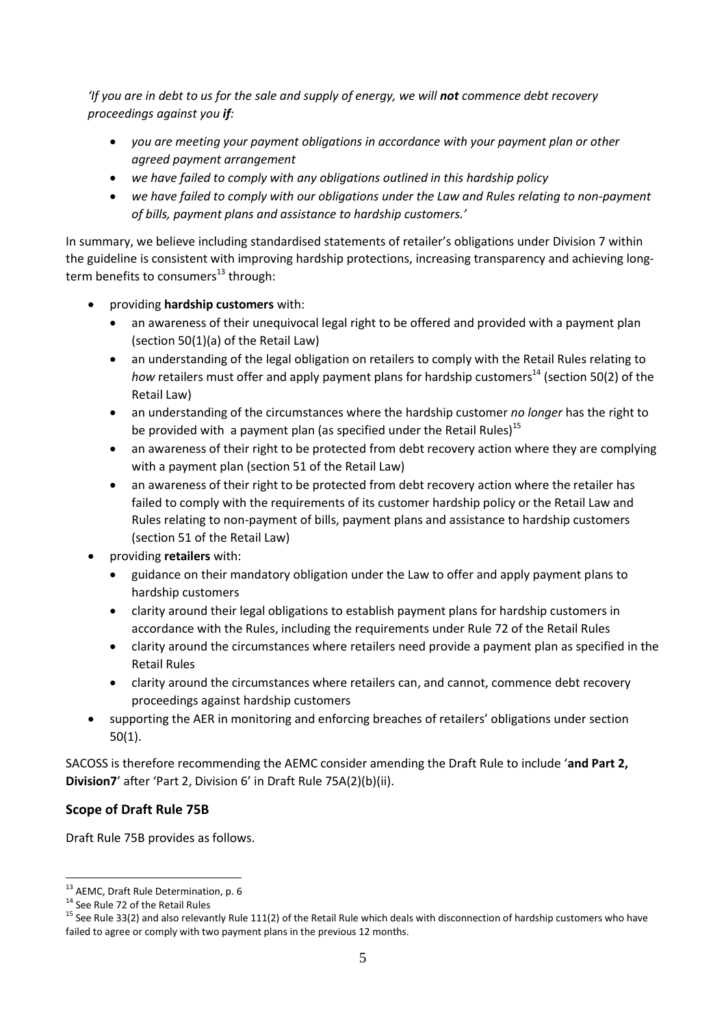*'If you are in debt to us for the sale and supply of energy, we will not commence debt recovery proceedings against you if:*

- *you are meeting your payment obligations in accordance with your payment plan or other agreed payment arrangement*
- *we have failed to comply with any obligations outlined in this hardship policy*
- *we have failed to comply with our obligations under the Law and Rules relating to non-payment of bills, payment plans and assistance to hardship customers.'*

In summary, we believe including standardised statements of retailer's obligations under Division 7 within the guideline is consistent with improving hardship protections, increasing transparency and achieving longterm benefits to consumers $^{13}$  through:

- providing **hardship customers** with:
	- an awareness of their unequivocal legal right to be offered and provided with a payment plan (section 50(1)(a) of the Retail Law)
	- an understanding of the legal obligation on retailers to comply with the Retail Rules relating to *how* retailers must offer and apply payment plans for hardship customers<sup>14</sup> (section 50(2) of the Retail Law)
	- an understanding of the circumstances where the hardship customer *no longer* has the right to be provided with a payment plan (as specified under the Retail Rules)<sup>15</sup>
	- an awareness of their right to be protected from debt recovery action where they are complying with a payment plan (section 51 of the Retail Law)
	- an awareness of their right to be protected from debt recovery action where the retailer has failed to comply with the requirements of its customer hardship policy or the Retail Law and Rules relating to non-payment of bills, payment plans and assistance to hardship customers (section 51 of the Retail Law)
- providing **retailers** with:
	- guidance on their mandatory obligation under the Law to offer and apply payment plans to hardship customers
	- clarity around their legal obligations to establish payment plans for hardship customers in accordance with the Rules, including the requirements under Rule 72 of the Retail Rules
	- clarity around the circumstances where retailers need provide a payment plan as specified in the Retail Rules
	- clarity around the circumstances where retailers can, and cannot, commence debt recovery proceedings against hardship customers
- supporting the AER in monitoring and enforcing breaches of retailers' obligations under section 50(1).

SACOSS is therefore recommending the AEMC consider amending the Draft Rule to include '**and Part 2, Division7**' after 'Part 2, Division 6' in Draft Rule 75A(2)(b)(ii).

# **Scope of Draft Rule 75B**

Draft Rule 75B provides as follows.

<u>.</u>

<sup>&</sup>lt;sup>13</sup> AEMC, Draft Rule Determination, p. 6

<sup>&</sup>lt;sup>14</sup> See Rule 72 of the Retail Rules

 $15$  See Rule 33(2) and also relevantly Rule 111(2) of the Retail Rule which deals with disconnection of hardship customers who have failed to agree or comply with two payment plans in the previous 12 months.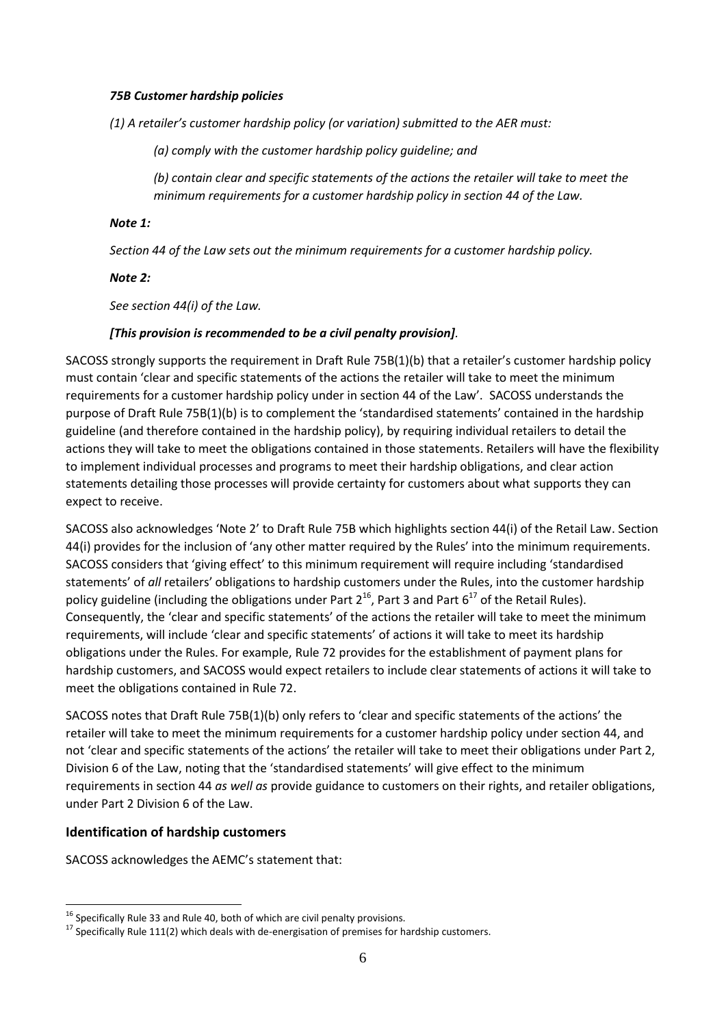#### *75B Customer hardship policies*

*(1) A retailer's customer hardship policy (or variation) submitted to the AER must:* 

*(a) comply with the customer hardship policy guideline; and* 

*(b) contain clear and specific statements of the actions the retailer will take to meet the minimum requirements for a customer hardship policy in section 44 of the Law.* 

### *Note 1:*

*Section 44 of the Law sets out the minimum requirements for a customer hardship policy.* 

### *Note 2:*

*See section 44(i) of the Law.* 

### *[This provision is recommended to be a civil penalty provision].*

SACOSS strongly supports the requirement in Draft Rule 75B(1)(b) that a retailer's customer hardship policy must contain 'clear and specific statements of the actions the retailer will take to meet the minimum requirements for a customer hardship policy under in section 44 of the Law'. SACOSS understands the purpose of Draft Rule 75B(1)(b) is to complement the 'standardised statements' contained in the hardship guideline (and therefore contained in the hardship policy), by requiring individual retailers to detail the actions they will take to meet the obligations contained in those statements. Retailers will have the flexibility to implement individual processes and programs to meet their hardship obligations, and clear action statements detailing those processes will provide certainty for customers about what supports they can expect to receive.

SACOSS also acknowledges 'Note 2' to Draft Rule 75B which highlights section 44(i) of the Retail Law. Section 44(i) provides for the inclusion of 'any other matter required by the Rules' into the minimum requirements. SACOSS considers that 'giving effect' to this minimum requirement will require including 'standardised statements' of *all* retailers' obligations to hardship customers under the Rules, into the customer hardship policy guideline (including the obligations under Part  $2^{16}$ , Part 3 and Part  $6^{17}$  of the Retail Rules). Consequently, the 'clear and specific statements' of the actions the retailer will take to meet the minimum requirements, will include 'clear and specific statements' of actions it will take to meet its hardship obligations under the Rules. For example, Rule 72 provides for the establishment of payment plans for hardship customers, and SACOSS would expect retailers to include clear statements of actions it will take to meet the obligations contained in Rule 72.

SACOSS notes that Draft Rule 75B(1)(b) only refers to 'clear and specific statements of the actions' the retailer will take to meet the minimum requirements for a customer hardship policy under section 44, and not 'clear and specific statements of the actions' the retailer will take to meet their obligations under Part 2, Division 6 of the Law, noting that the 'standardised statements' will give effect to the minimum requirements in section 44 *as well as* provide guidance to customers on their rights, and retailer obligations, under Part 2 Division 6 of the Law.

## **Identification of hardship customers**

1

SACOSS acknowledges the AEMC's statement that:

 $^{16}$  Specifically Rule 33 and Rule 40, both of which are civil penalty provisions.

<sup>&</sup>lt;sup>17</sup> Specifically Rule 111(2) which deals with de-energisation of premises for hardship customers.